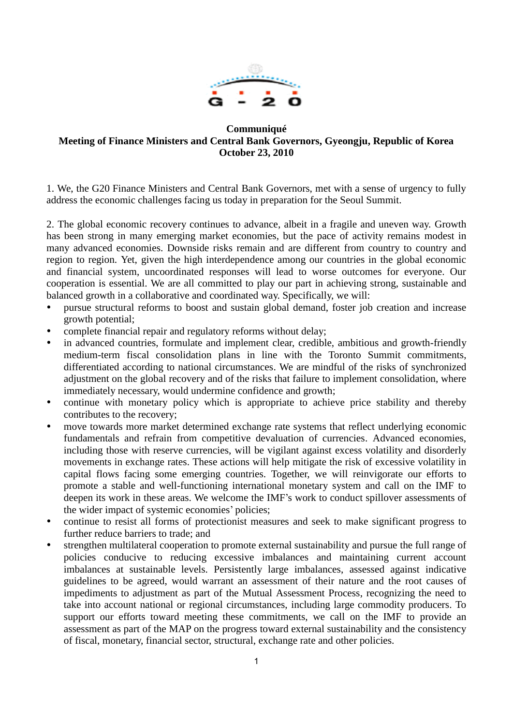

## **Communiqué Meeting of Finance Ministers and Central Bank Governors, Gyeongju, Republic of Korea October 23, 2010**

1. We, the G20 Finance Ministers and Central Bank Governors, met with a sense of urgency to fully address the economic challenges facing us today in preparation for the Seoul Summit.

2. The global economic recovery continues to advance, albeit in a fragile and uneven way. Growth has been strong in many emerging market economies, but the pace of activity remains modest in many advanced economies. Downside risks remain and are different from country to country and region to region. Yet, given the high interdependence among our countries in the global economic and financial system, uncoordinated responses will lead to worse outcomes for everyone. Our cooperation is essential. We are all committed to play our part in achieving strong, sustainable and balanced growth in a collaborative and coordinated way. Specifically, we will:

- pursue structural reforms to boost and sustain global demand, foster job creation and increase growth potential;
- complete financial repair and regulatory reforms without delay;
- in advanced countries, formulate and implement clear, credible, ambitious and growth-friendly medium-term fiscal consolidation plans in line with the Toronto Summit commitments, differentiated according to national circumstances. We are mindful of the risks of synchronized adjustment on the global recovery and of the risks that failure to implement consolidation, where immediately necessary, would undermine confidence and growth;
- continue with monetary policy which is appropriate to achieve price stability and thereby contributes to the recovery;
- move towards more market determined exchange rate systems that reflect underlying economic fundamentals and refrain from competitive devaluation of currencies. Advanced economies, including those with reserve currencies, will be vigilant against excess volatility and disorderly movements in exchange rates. These actions will help mitigate the risk of excessive volatility in capital flows facing some emerging countries. Together, we will reinvigorate our efforts to promote a stable and well-functioning international monetary system and call on the IMF to deepen its work in these areas. We welcome the IMF's work to conduct spillover assessments of the wider impact of systemic economies' policies;
- continue to resist all forms of protectionist measures and seek to make significant progress to further reduce barriers to trade; and
- strengthen multilateral cooperation to promote external sustainability and pursue the full range of policies conducive to reducing excessive imbalances and maintaining current account imbalances at sustainable levels. Persistently large imbalances, assessed against indicative guidelines to be agreed, would warrant an assessment of their nature and the root causes of impediments to adjustment as part of the Mutual Assessment Process, recognizing the need to take into account national or regional circumstances, including large commodity producers. To support our efforts toward meeting these commitments, we call on the IMF to provide an assessment as part of the MAP on the progress toward external sustainability and the consistency of fiscal, monetary, financial sector, structural, exchange rate and other policies.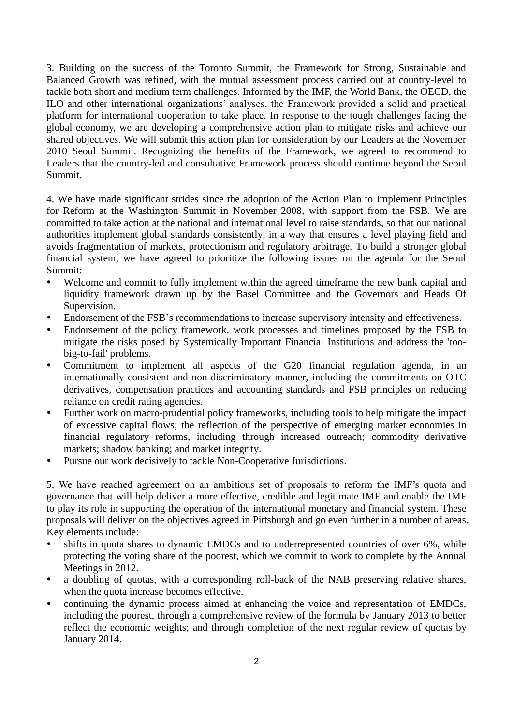3. Building on the success of the Toronto Summit, the Framework for Strong, Sustainable and Balanced Growth was refined, with the mutual assessment process carried out at country-level to tackle both short and medium term challenges. Informed by the IMF, the World Bank, the OECD, the ILO and other international organizations' analyses, the Framework provided a solid and practical platform for international cooperation to take place. In response to the tough challenges facing the global economy, we are developing a comprehensive action plan to mitigate risks and achieve our shared objectives. We will submit this action plan for consideration by our Leaders at the November 2010 Seoul Summit. Recognizing the benefits of the Framework, we agreed to recommend to Leaders that the country-led and consultative Framework process should continue beyond the Seoul Summit.

4. We have made significant strides since the adoption of the Action Plan to Implement Principles for Reform at the Washington Summit in November 2008, with support from the FSB. We are committed to take action at the national and international level to raise standards, so that our national authorities implement global standards consistently, in a way that ensures a level playing field and avoids fragmentation of markets, protectionism and regulatory arbitrage. To build a stronger global financial system, we have agreed to prioritize the following issues on the agenda for the Seoul Summit:

- Welcome and commit to fully implement within the agreed timeframe the new bank capital and liquidity framework drawn up by the Basel Committee and the Governors and Heads Of Supervision.
- Endorsement of the FSB's recommendations to increase supervisory intensity and effectiveness.
- Endorsement of the policy framework, work processes and timelines proposed by the FSB to mitigate the risks posed by Systemically Important Financial Institutions and address the 'toobig-to-fail' problems.
- Commitment to implement all aspects of the G20 financial regulation agenda, in an internationally consistent and non-discriminatory manner, including the commitments on OTC derivatives, compensation practices and accounting standards and FSB principles on reducing reliance on credit rating agencies.
- Further work on macro-prudential policy frameworks, including tools to help mitigate the impact of excessive capital flows; the reflection of the perspective of emerging market economies in financial regulatory reforms, including through increased outreach; commodity derivative markets; shadow banking; and market integrity.
- Pursue our work decisively to tackle Non-Cooperative Jurisdictions.

5. We have reached agreement on an ambitious set of proposals to reform the IMF's quota and governance that will help deliver a more effective, credible and legitimate IMF and enable the IMF to play its role in supporting the operation of the international monetary and financial system. These proposals will deliver on the objectives agreed in Pittsburgh and go even further in a number of areas. Key elements include:

- shifts in quota shares to dynamic EMDCs and to underrepresented countries of over 6%, while protecting the voting share of the poorest, which we commit to work to complete by the Annual Meetings in 2012.
- a doubling of quotas, with a corresponding roll-back of the NAB preserving relative shares, when the quota increase becomes effective.
- continuing the dynamic process aimed at enhancing the voice and representation of EMDCs, including the poorest, through a comprehensive review of the formula by January 2013 to better reflect the economic weights; and through completion of the next regular review of quotas by January 2014.